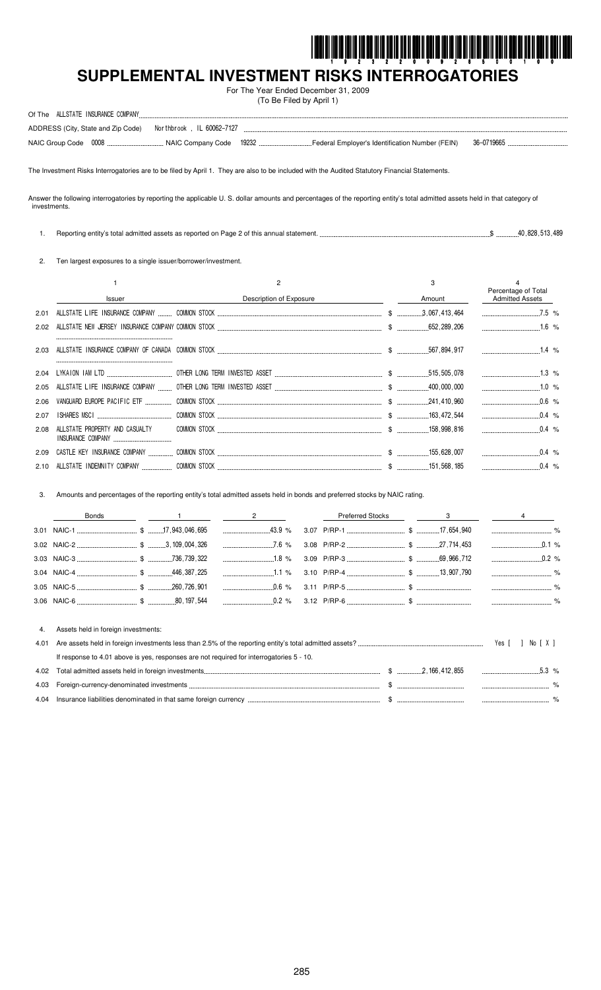

# SUPPLEMENTAL INVESTMENT RISKS INTERROGATORIES

For The Year Ended December 31, 2009 (To Be Filed by April 1)

|              | ADDRESS (City, State and Zip Code)                                                                                                                                             |                                                                                                                            |                         |      |  |        |                                               |
|--------------|--------------------------------------------------------------------------------------------------------------------------------------------------------------------------------|----------------------------------------------------------------------------------------------------------------------------|-------------------------|------|--|--------|-----------------------------------------------|
|              |                                                                                                                                                                                |                                                                                                                            |                         |      |  |        |                                               |
|              | The Investment Risks Interrogatories are to be filed by April 1. They are also to be included with the Audited Statutory Financial Statements.                                 |                                                                                                                            |                         |      |  |        |                                               |
| investments. | Answer the following interrogatories by reporting the applicable U. S. dollar amounts and percentages of the reporting entity's total admitted assets held in that category of |                                                                                                                            |                         |      |  |        |                                               |
| 1.           |                                                                                                                                                                                |                                                                                                                            |                         |      |  |        |                                               |
| 2.           |                                                                                                                                                                                | Ten largest exposures to a single issuer/borrower/investment.                                                              |                         |      |  |        |                                               |
|              | $\mathbf{1}$                                                                                                                                                                   |                                                                                                                            | $\overline{c}$          |      |  | 3      |                                               |
|              | Issuer                                                                                                                                                                         |                                                                                                                            | Description of Exposure |      |  | Amount | Percentage of Total<br><b>Admitted Assets</b> |
| 2.01         |                                                                                                                                                                                |                                                                                                                            |                         |      |  |        | $7.5\%$                                       |
| 2.02         |                                                                                                                                                                                |                                                                                                                            |                         |      |  |        |                                               |
| 2.03         |                                                                                                                                                                                |                                                                                                                            |                         |      |  |        |                                               |
| 2.04         |                                                                                                                                                                                |                                                                                                                            |                         |      |  |        |                                               |
| 2.05         |                                                                                                                                                                                |                                                                                                                            |                         |      |  |        |                                               |
| 2.06         |                                                                                                                                                                                |                                                                                                                            |                         |      |  |        |                                               |
| 2.07         |                                                                                                                                                                                |                                                                                                                            |                         |      |  |        | $0.4$ %                                       |
| 2.08         | ALLSTATE PROPERTY AND CASUALTY                                                                                                                                                 |                                                                                                                            |                         |      |  |        | $\ldots$ 0.4 %                                |
| 2.09         |                                                                                                                                                                                |                                                                                                                            |                         |      |  |        |                                               |
| 2.10         |                                                                                                                                                                                |                                                                                                                            |                         |      |  |        | $0.4\%$                                       |
|              |                                                                                                                                                                                |                                                                                                                            |                         |      |  |        |                                               |
| 3.           |                                                                                                                                                                                | Amounts and percentages of the reporting entity's total admitted assets held in bonds and preferred stocks by NAIC rating. |                         |      |  |        |                                               |
|              | Bonds                                                                                                                                                                          |                                                                                                                            | $\frac{2}{\sqrt{2}}$    |      |  |        | $3 \qquad \qquad 4$                           |
|              |                                                                                                                                                                                |                                                                                                                            | $43.9\%$                |      |  |        |                                               |
|              |                                                                                                                                                                                |                                                                                                                            |                         |      |  |        |                                               |
|              |                                                                                                                                                                                |                                                                                                                            |                         | 3.09 |  |        |                                               |
|              |                                                                                                                                                                                |                                                                                                                            |                         | 3.10 |  |        |                                               |
|              |                                                                                                                                                                                |                                                                                                                            | 0.6 %                   |      |  |        |                                               |
|              |                                                                                                                                                                                |                                                                                                                            |                         |      |  |        |                                               |
| 4.           | Assets held in foreign investments:                                                                                                                                            |                                                                                                                            |                         |      |  |        |                                               |
| 4.01         |                                                                                                                                                                                |                                                                                                                            |                         |      |  |        | Yes [<br>] No [ X ]                           |
|              |                                                                                                                                                                                | If response to 4.01 above is yes, responses are not required for interrogatories 5 - 10.                                   |                         |      |  |        |                                               |
| 4.02         |                                                                                                                                                                                |                                                                                                                            |                         |      |  |        |                                               |
| 4.03         |                                                                                                                                                                                |                                                                                                                            |                         |      |  |        |                                               |

285

 $$\,$ 

 $. \%$ 

4.04 Insurance liabilities denominated in that same foreign currency ...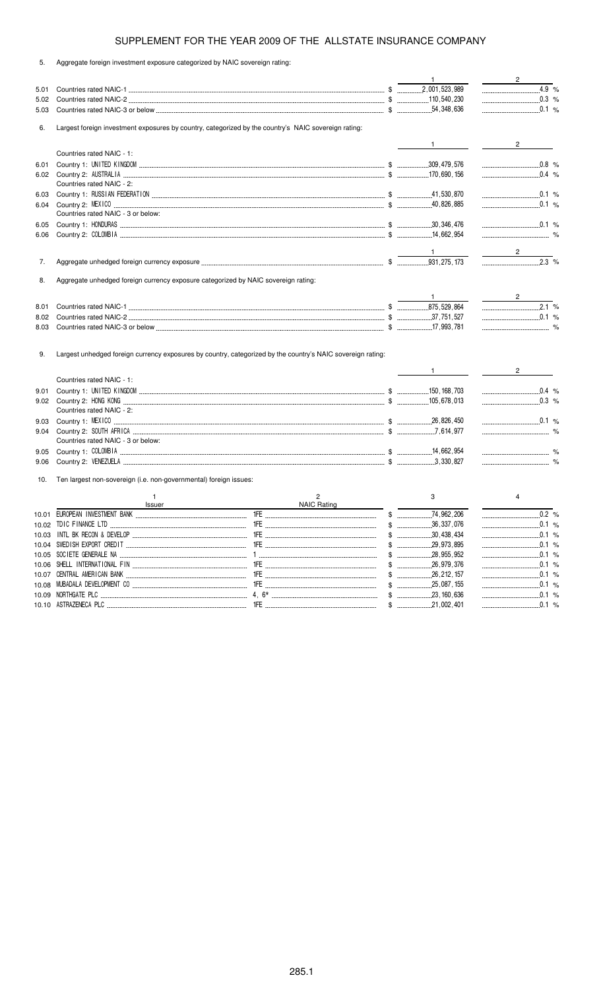5. Aggregate foreign investment exposure categorized by NAIC sovereign rating:

|       |                                                                                                             |                    | $\mathbf{1}$  | $\overline{\phantom{a}2\phantom{a}}$                                                                                                                                                                                                                                                                                                                               |
|-------|-------------------------------------------------------------------------------------------------------------|--------------------|---------------|--------------------------------------------------------------------------------------------------------------------------------------------------------------------------------------------------------------------------------------------------------------------------------------------------------------------------------------------------------------------|
| 5.01  |                                                                                                             |                    |               | 4.9 %                                                                                                                                                                                                                                                                                                                                                              |
| 5.02  |                                                                                                             |                    |               |                                                                                                                                                                                                                                                                                                                                                                    |
| 5.03  |                                                                                                             |                    |               |                                                                                                                                                                                                                                                                                                                                                                    |
|       |                                                                                                             |                    |               |                                                                                                                                                                                                                                                                                                                                                                    |
| 6.    | Largest foreign investment exposures by country, categorized by the country's NAIC sovereign rating:        |                    |               |                                                                                                                                                                                                                                                                                                                                                                    |
|       |                                                                                                             |                    | $\frac{1}{1}$ | $2 \left( \frac{1}{2} \right)$                                                                                                                                                                                                                                                                                                                                     |
|       | Countries rated NAIC - 1:                                                                                   |                    |               |                                                                                                                                                                                                                                                                                                                                                                    |
| 6.01  |                                                                                                             |                    |               | $\begin{picture}(180,10) \put(0,0){\vector(1,0){100}} \put(10,0){\vector(1,0){100}} \put(10,0){\vector(1,0){100}} \put(10,0){\vector(1,0){100}} \put(10,0){\vector(1,0){100}} \put(10,0){\vector(1,0){100}} \put(10,0){\vector(1,0){100}} \put(10,0){\vector(1,0){100}} \put(10,0){\vector(1,0){100}} \put(10,0){\vector(1,0){100}} \put(10,0){\vector(1,0){100}}$ |
| 6.02  |                                                                                                             |                    |               | $0.4\%$                                                                                                                                                                                                                                                                                                                                                            |
|       | Countries rated NAIC - 2:                                                                                   |                    |               |                                                                                                                                                                                                                                                                                                                                                                    |
| 6.03  |                                                                                                             |                    |               | 0.1 %                                                                                                                                                                                                                                                                                                                                                              |
| 6.04  |                                                                                                             |                    |               | $0.1 \%$                                                                                                                                                                                                                                                                                                                                                           |
|       | Countries rated NAIC - 3 or below:                                                                          |                    |               |                                                                                                                                                                                                                                                                                                                                                                    |
| 6.05  |                                                                                                             |                    |               | $\ldots$ 0.1 %                                                                                                                                                                                                                                                                                                                                                     |
| 6.06  |                                                                                                             |                    |               |                                                                                                                                                                                                                                                                                                                                                                    |
|       |                                                                                                             |                    |               |                                                                                                                                                                                                                                                                                                                                                                    |
|       |                                                                                                             |                    |               | $2 \left( \frac{1}{2} \right)$                                                                                                                                                                                                                                                                                                                                     |
| 7.    |                                                                                                             |                    |               | $2.3$ %                                                                                                                                                                                                                                                                                                                                                            |
|       |                                                                                                             |                    |               |                                                                                                                                                                                                                                                                                                                                                                    |
| 8.    | Aggregate unhedged foreign currency exposure categorized by NAIC sovereign rating:                          |                    |               |                                                                                                                                                                                                                                                                                                                                                                    |
|       |                                                                                                             |                    |               |                                                                                                                                                                                                                                                                                                                                                                    |
| 8.01  |                                                                                                             |                    |               | $\frac{2}{\sqrt{2}}$<br>2.1%                                                                                                                                                                                                                                                                                                                                       |
| 8.02  |                                                                                                             |                    |               | $\begin{array}{c} \begin{array}{c} \text{}\\ \text{}\\ \text{}\\ \end{array} \end{array}$                                                                                                                                                                                                                                                                          |
| 8.03  |                                                                                                             |                    |               |                                                                                                                                                                                                                                                                                                                                                                    |
|       |                                                                                                             |                    |               |                                                                                                                                                                                                                                                                                                                                                                    |
|       |                                                                                                             |                    |               |                                                                                                                                                                                                                                                                                                                                                                    |
| 9.    | Largest unhedged foreign currency exposures by country, categorized by the country's NAIC sovereign rating: |                    |               |                                                                                                                                                                                                                                                                                                                                                                    |
|       |                                                                                                             |                    |               |                                                                                                                                                                                                                                                                                                                                                                    |
|       |                                                                                                             |                    |               |                                                                                                                                                                                                                                                                                                                                                                    |
|       |                                                                                                             |                    |               | $\mathbf{2}$                                                                                                                                                                                                                                                                                                                                                       |
|       | Countries rated NAIC - 1:                                                                                   |                    |               |                                                                                                                                                                                                                                                                                                                                                                    |
| 9.01  |                                                                                                             |                    |               | $\ldots$ 0.4 %                                                                                                                                                                                                                                                                                                                                                     |
| 9.02  |                                                                                                             |                    |               | $\ldots$ 0.3 %                                                                                                                                                                                                                                                                                                                                                     |
|       | Countries rated NAIC - 2:                                                                                   |                    |               |                                                                                                                                                                                                                                                                                                                                                                    |
| 9.03  |                                                                                                             |                    |               | $\ldots$ 0.1 %                                                                                                                                                                                                                                                                                                                                                     |
| 9.04  |                                                                                                             |                    |               |                                                                                                                                                                                                                                                                                                                                                                    |
|       | Countries rated NAIC - 3 or below:                                                                          |                    |               |                                                                                                                                                                                                                                                                                                                                                                    |
| 9.05  |                                                                                                             |                    |               |                                                                                                                                                                                                                                                                                                                                                                    |
| 9.06  |                                                                                                             |                    |               |                                                                                                                                                                                                                                                                                                                                                                    |
|       |                                                                                                             |                    |               |                                                                                                                                                                                                                                                                                                                                                                    |
| 10.   | Ten largest non-sovereign (i.e. non-governmental) foreign issues:                                           |                    |               |                                                                                                                                                                                                                                                                                                                                                                    |
|       | 1.                                                                                                          | $\overline{c}$     | 3             | 4                                                                                                                                                                                                                                                                                                                                                                  |
|       | Issuer                                                                                                      | <b>NAIC Rating</b> |               |                                                                                                                                                                                                                                                                                                                                                                    |
|       | 10.01 EUROPEAN INVESTMENT BANK                                                                              | 1FE<br>\$          | 74,962,206    | 0.2%                                                                                                                                                                                                                                                                                                                                                               |
|       |                                                                                                             |                    |               |                                                                                                                                                                                                                                                                                                                                                                    |
| 10.03 |                                                                                                             |                    |               |                                                                                                                                                                                                                                                                                                                                                                    |
|       |                                                                                                             |                    |               |                                                                                                                                                                                                                                                                                                                                                                    |
|       |                                                                                                             |                    |               | $\ldots$ 0.1 %                                                                                                                                                                                                                                                                                                                                                     |
|       |                                                                                                             |                    |               |                                                                                                                                                                                                                                                                                                                                                                    |
| 10.07 |                                                                                                             |                    |               |                                                                                                                                                                                                                                                                                                                                                                    |
| 10.08 |                                                                                                             |                    |               |                                                                                                                                                                                                                                                                                                                                                                    |
| 10.09 |                                                                                                             |                    |               | 0.1 %                                                                                                                                                                                                                                                                                                                                                              |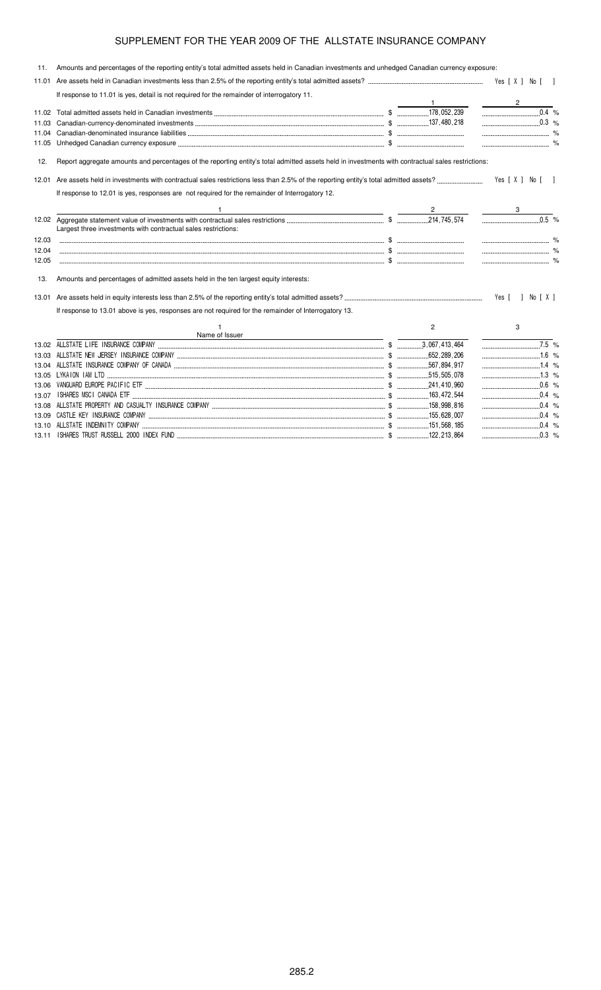11. Amounts and percentages of the reporting entity's total admitted assets held in Canadian investments and unhedged Canadian currency exposure: 11.01 Are assets held in Canadian investments less than 2.5% of the reporting entity's total admitted assets? -Wes [X ] No [] If response to 11.01 is yes, detail is not required for the remainder of interrogatory 11. 1 2 11.02 Total admitted assets held in Canadian investments ..............................  % 11.03 Canadian-currency-denominated investments \$  % 11.04 Canadian-denominated insurance liabilities \$ % 11.05 Unhedged Canadian currency exposure \$ % 12. Report aggregate amounts and percentages of the reporting entity's total admitted assets held in investments with contractual sales restrictions: 12.01 Are assets held in investments with contractual sales restrictions less than 2.5% of the reporting entity's total admitted assets? - $M = Yes[X] No [1]$ If response to 12.01 is yes, responses are not required for the remainder of Interrogatory 12. 1  $\overline{2}$  3 12.02 Aggregate statement value of investments with contractual sales restrictions \$ 214.745.574 0.5 % Largest three investments with contractual sales restrictions: 12.03 \$ % 12.04 \$ % 12.05 \$ % 13. Amounts and percentages of admitted assets held in the ten largest equity interests: 13.01 Are assets held in equity interests less than 2.5% of the reporting entity's total admitted assets? -Yes [ ] No [ X ] If response to 13.01 above is yes, responses are not required for the remainder of Interrogatory 13. 1 Name of Issuer 2 3 13.02 ! \$ " " % 13.03 # \$ ! \$ "

"  $.16%$ 13.04 ! % \$ "
 7 …………………………………1  $.1.4%$ 13.05 & % \$ 515 505 078  $1.3\%$ 13.06 '(% ! ! \$  $.241,410,960$  $.0.6%$ 13.07 ) % \$  $163$  472 544 0.4  $\frac{9}{6}$ 13.08 !! % ! \$ 158,998,816  $0.4 %$ <br> $0.4 %$ 

155,628,007

51,568,1

 $.0.4%$ 

 $.0.3 %$ 

13.09 & ! \$

13.11 ) % % \$

13.10 ALLSTATE INDEMNITY COMPANY.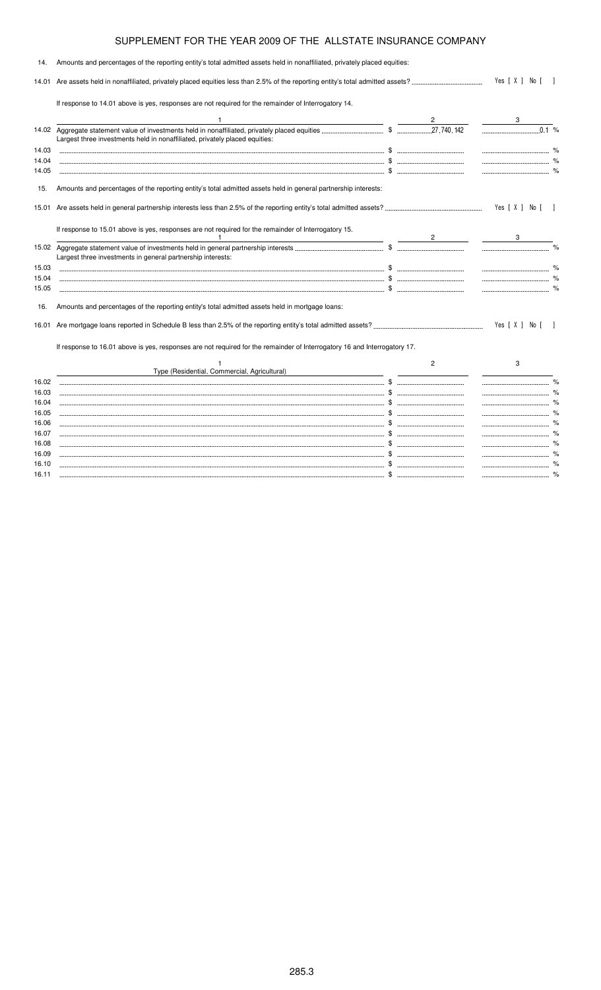| 14.   | Amounts and percentages of the reporting entity's total admitted assets held in nonaffiliated, privately placed equities: |                |                |      |
|-------|---------------------------------------------------------------------------------------------------------------------------|----------------|----------------|------|
|       |                                                                                                                           | Yes [ X ] No [ |                |      |
|       | If response to 14.01 above is yes, responses are not required for the remainder of Interrogatory 14.                      |                |                |      |
|       |                                                                                                                           |                |                |      |
|       | Largest three investments held in nonaffiliated, privately placed equities:                                               |                | 0.1%           |      |
| 14.03 |                                                                                                                           |                |                |      |
| 14.04 |                                                                                                                           |                |                |      |
| 14.05 |                                                                                                                           |                |                |      |
| 15.   | Amounts and percentages of the reporting entity's total admitted assets held in general partnership interests:            |                |                |      |
|       |                                                                                                                           |                | Yes [ X ] No [ |      |
|       | If response to 15.01 above is yes, responses are not required for the remainder of Interrogatory 15.                      | $\mathbf{2}$   |                |      |
|       | Largest three investments in general partnership interests:                                                               |                |                |      |
| 15.03 |                                                                                                                           |                |                |      |
| 15.04 |                                                                                                                           |                |                |      |
| 15.05 |                                                                                                                           |                |                |      |
| 16.   | Amounts and percentages of the reporting entity's total admitted assets held in mortgage loans:                           |                |                |      |
|       |                                                                                                                           |                | Yes [ X ] No [ |      |
|       | If response to 16.01 above is yes, responses are not required for the remainder of Interrogatory 16 and Interrogatory 17. |                |                |      |
|       |                                                                                                                           | 2              | 3              |      |
|       | Type (Residential, Commercial, Agricultural)                                                                              |                |                |      |
| 16.02 |                                                                                                                           |                |                |      |
| 16.03 |                                                                                                                           |                |                |      |
| 16.04 |                                                                                                                           |                |                |      |
| 16.05 |                                                                                                                           |                |                |      |
| 16.06 |                                                                                                                           |                |                |      |
| 16.07 |                                                                                                                           |                |                |      |
| 16.08 |                                                                                                                           |                |                |      |
| 16.09 |                                                                                                                           |                |                | $\%$ |

16.10 \$ % 16.11 \$ %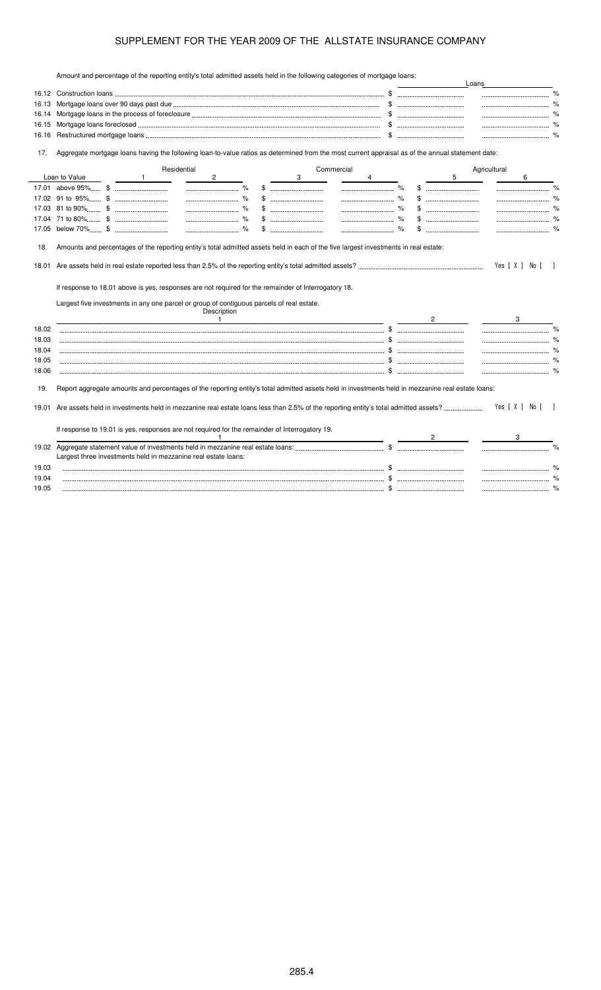Amount and percentage of the reporting entity's total admitted assets held in the following categories of mortgage loans:

|                         |               |              |                                                                                                                                                                                                                  |             |   |            |   |                |   | Loans        |                |               |
|-------------------------|---------------|--------------|------------------------------------------------------------------------------------------------------------------------------------------------------------------------------------------------------------------|-------------|---|------------|---|----------------|---|--------------|----------------|---------------|
|                         |               |              |                                                                                                                                                                                                                  |             |   |            |   |                |   |              |                |               |
| 16.13                   |               |              |                                                                                                                                                                                                                  |             |   |            |   |                |   |              |                |               |
| 16.14                   |               |              |                                                                                                                                                                                                                  |             |   |            |   |                |   |              |                |               |
| 16.15                   |               |              |                                                                                                                                                                                                                  |             |   |            |   |                |   |              |                |               |
| 16.16                   |               |              |                                                                                                                                                                                                                  |             |   |            |   |                |   |              | $\%$           |               |
| 17.                     |               |              | Aggregate mortgage loans having the following loan-to-value ratios as determined from the most current appraisal as of the annual statement date:                                                                |             |   |            |   |                |   |              |                |               |
|                         |               |              | Residential                                                                                                                                                                                                      |             |   | Commercial |   |                |   | Agricultural |                |               |
|                         | Loan to Value | $\mathbf{1}$ | $\overline{2}$                                                                                                                                                                                                   |             | 3 |            | 4 |                | 5 |              | 6              |               |
|                         |               |              |                                                                                                                                                                                                                  |             |   |            |   |                |   |              |                |               |
|                         |               |              |                                                                                                                                                                                                                  | \$          |   |            |   |                |   |              |                |               |
|                         |               |              |                                                                                                                                                                                                                  | $\%$<br>\$. |   |            |   |                |   |              |                |               |
|                         |               |              |                                                                                                                                                                                                                  |             |   |            |   |                |   |              |                |               |
|                         |               |              |                                                                                                                                                                                                                  |             |   |            |   |                |   |              |                |               |
| 18.01                   |               |              |                                                                                                                                                                                                                  |             |   |            |   |                |   |              | Yes [ X ] No [ |               |
|                         |               |              | If response to 18.01 above is yes, responses are not required for the remainder of Interrogatory 18.<br>Largest five investments in any one parcel or group of contiguous parcels of real estate.<br>Description |             |   |            |   |                |   |              |                |               |
|                         |               |              | $\overline{1}$                                                                                                                                                                                                   |             |   |            |   | $\overline{2}$ |   |              |                |               |
|                         |               |              |                                                                                                                                                                                                                  |             |   |            |   |                |   |              |                |               |
|                         |               |              |                                                                                                                                                                                                                  |             |   |            |   |                |   |              |                |               |
| 18.02<br>18.03<br>18.04 |               |              |                                                                                                                                                                                                                  |             |   |            |   |                |   |              |                |               |
| 18.05<br>18.06          |               |              |                                                                                                                                                                                                                  |             |   |            |   |                |   |              |                |               |
| 19.                     |               |              | Report aggregate amounts and percentages of the reporting entity's total admitted assets held in investments held in mezzanine real estate loans:                                                                |             |   |            |   |                |   |              |                |               |
|                         |               |              |                                                                                                                                                                                                                  |             |   |            |   |                |   |              | Yes [ X ] No [ |               |
|                         |               |              | If response to 19.01 is yes, responses are not required for the remainder of Interrogatory 19.                                                                                                                   |             |   |            |   |                |   |              |                |               |
|                         |               |              |                                                                                                                                                                                                                  |             |   |            |   |                |   |              |                |               |
|                         |               |              |                                                                                                                                                                                                                  |             |   |            |   |                |   |              |                |               |
|                         |               |              | Largest three investments held in mezzanine real estate loans:                                                                                                                                                   |             |   |            |   |                |   |              |                |               |
| 19.01<br>19.02<br>19.03 |               |              |                                                                                                                                                                                                                  |             |   |            |   |                |   |              |                | $\frac{1}{2}$ |
| 19.04<br>19.05          |               |              |                                                                                                                                                                                                                  |             |   |            |   |                |   |              |                | %             |